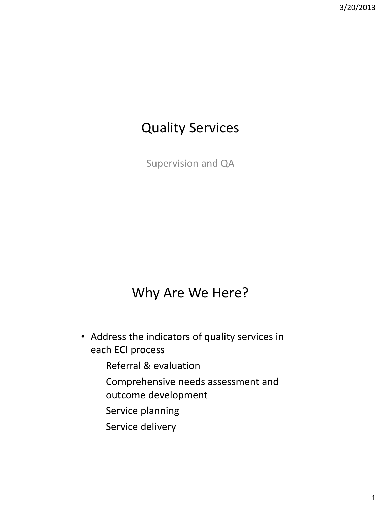# Quality Services

Supervision and QA

# Why Are We Here?

- Address the indicators of quality services in each ECI process
	- Referral & evaluation
	- Comprehensive needs assessment and outcome development
	- Service planning
	- Service delivery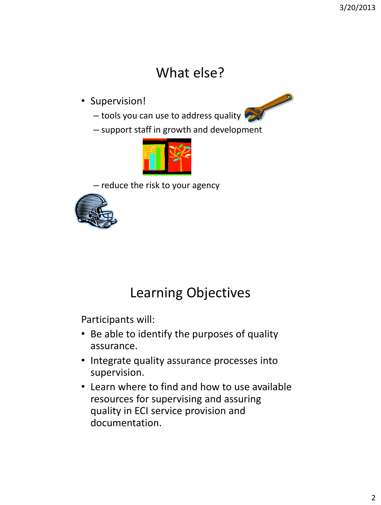# What else?

• Supervision!



- tools you can use to address quality
- support staff in growth and development



– reduce the risk to your agency



# Learning Objectives

Participants will:

- Be able to identify the purposes of quality assurance.
- Integrate quality assurance processes into supervision.
- Learn where to find and how to use available resources for supervising and assuring quality in ECI service provision and documentation.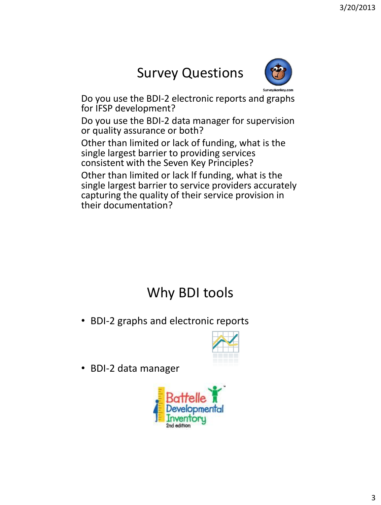# Survey Questions



Do you use the BDI-2 electronic reports and graphs for IFSP development?

Do you use the BDI-2 data manager for supervision or quality assurance or both?

Other than limited or lack of funding, what is the single largest barrier to providing services consistent with the Seven Key Principles?

Other than limited or lack lf funding, what is the single largest barrier to service providers accurately capturing the quality of their service provision in their documentation?

# Why BDI tools

• BDI-2 graphs and electronic reports



• BDI-2 data manager

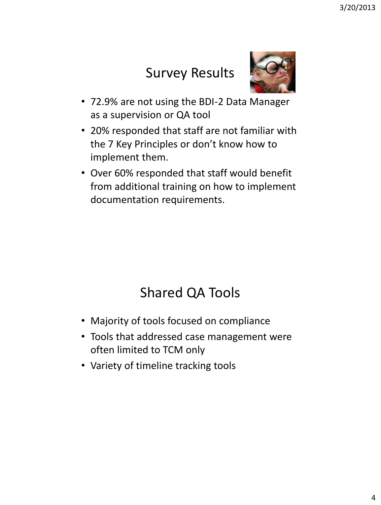# Survey Results



- 72.9% are not using the BDI-2 Data Manager as a supervision or QA tool
- 20% responded that staff are not familiar with the 7 Key Principles or don't know how to implement them.
- Over 60% responded that staff would benefit from additional training on how to implement documentation requirements.

# Shared QA Tools

- Majority of tools focused on compliance
- Tools that addressed case management were often limited to TCM only
- Variety of timeline tracking tools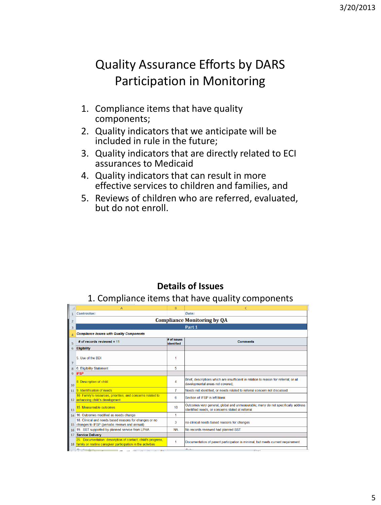#### Quality Assurance Efforts by DARS Participation in Monitoring

- 1. Compliance items that have quality components;
- 2. Quality indicators that we anticipate will be included in rule in the future;
- 3. Quality indicators that are directly related to ECI assurances to Medicaid
- 4. Quality indicators that can result in more effective services to children and families, and
- 5. Reviews of children who are referred, evaluated, but do not enroll.

#### **Details of Issues**

#### 1. Compliance items that have quality components

|                | A                                                                                                                                                                               | B                         | $\sqrt{ }$                                                                                                                           |  |  |
|----------------|---------------------------------------------------------------------------------------------------------------------------------------------------------------------------------|---------------------------|--------------------------------------------------------------------------------------------------------------------------------------|--|--|
|                | Contractor:                                                                                                                                                                     |                           | Date:                                                                                                                                |  |  |
|                | <b>Compliance Monitoring by QA</b>                                                                                                                                              |                           |                                                                                                                                      |  |  |
| Э              | Part 1                                                                                                                                                                          |                           |                                                                                                                                      |  |  |
|                | <b>Compliance Issues with Quality Components</b>                                                                                                                                |                           |                                                                                                                                      |  |  |
|                | # of records reviewed = 11                                                                                                                                                      | # of issues<br>identified | <b>Comments</b>                                                                                                                      |  |  |
| 6              | <b>Eligibility</b>                                                                                                                                                              |                           |                                                                                                                                      |  |  |
| $\overline{7}$ | 5 Use of the BDI                                                                                                                                                                | 1                         |                                                                                                                                      |  |  |
| 8              | 6. Eligibility Statement                                                                                                                                                        | 5                         |                                                                                                                                      |  |  |
| $\mathbf{Q}$   | <b>IFSP</b>                                                                                                                                                                     |                           |                                                                                                                                      |  |  |
| 10             | 8. Description of child                                                                                                                                                         | 4                         | Brief, descriptions which are insufficient in relation to reason for referral; or all<br>developmental areas not covered;            |  |  |
|                | 11 9. Identification of needs                                                                                                                                                   | $\overline{7}$            | Needs not identified, or needs related to referral concern not discussed.                                                            |  |  |
|                | 10. Family's resources, priorities, and concerns related to<br>12 enhancing child's development                                                                                 | 6                         | Section of IFSP is left blank                                                                                                        |  |  |
| 13             | 15. Measureable outcomes                                                                                                                                                        | 10                        | Outcomes very general, global and unmeasurable; many do not specifically address<br>identified needs, or concerns stated at referral |  |  |
|                | 14 16. Outcomes modified as needs change                                                                                                                                        | 1                         |                                                                                                                                      |  |  |
|                | 18. Clinical and needs based reasons for changes or no<br>15 changes to IFSP (periodic reviews and annual)                                                                      | 3                         | no clinical needs based reasons for changes                                                                                          |  |  |
| 16             | 19. SST supported by planned service from LPHA                                                                                                                                  | <b>NA</b>                 | No records reviewed had planned SST                                                                                                  |  |  |
| 17             | <b>Service Delivery</b>                                                                                                                                                         |                           |                                                                                                                                      |  |  |
|                | 25. Documentation: description of contact, child's progress,<br>18 family or routine caregiver participation in the activities                                                  | 1                         | Documentation of parent participation is minimal, but meets current requirement                                                      |  |  |
|                | $\mathbf{A}$ is a subsequent of $\mathbf{A}$ is a subsequent<br>the contract of the contract of the contract of the contract of the contract of the contract of the contract of |                           | $R = 4 - 4$<br>$\overline{a}$                                                                                                        |  |  |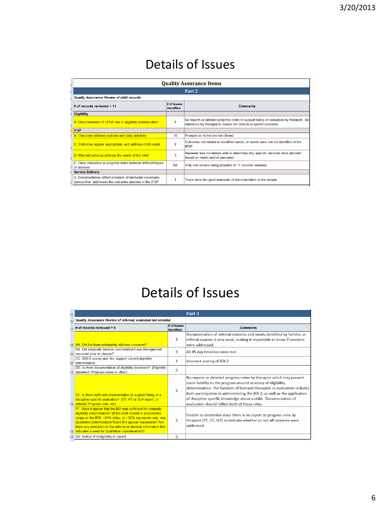#### Details of Issues

| <b>Quality Assurance Items</b>                                                                                       |                           |                                                                                                                                                              |  |
|----------------------------------------------------------------------------------------------------------------------|---------------------------|--------------------------------------------------------------------------------------------------------------------------------------------------------------|--|
|                                                                                                                      |                           | Part <sub>2</sub>                                                                                                                                            |  |
| Quality Assurance Review of child records                                                                            |                           |                                                                                                                                                              |  |
| # of records reviewed $= 11$                                                                                         | # of issues<br>identified | <b>Comments</b>                                                                                                                                              |  |
| <b>Eligibility</b>                                                                                                   |                           |                                                                                                                                                              |  |
| A. Documentation of LPHA role in eligibility determination                                                           | 4                         | No reports or detailed progress notes to support billing of evaluation by therapist. No<br>reference by therapist to reason for referral or parent concerns. |  |
| <b>IFSP</b>                                                                                                          |                           |                                                                                                                                                              |  |
| <b>B. Outcomes address routines and daily activities</b>                                                             | 10                        | Prompts on forms are not utilized.                                                                                                                           |  |
| C. Outcomes appear appropriate, and address child needs                                                              | 9                         | Outcomes not related to identified needs, or needs were not not identified in the<br><b>IFSP</b>                                                             |  |
| D. Planned services address the needs of the child                                                                   | 3                         | Reviewer was not always able to determine why specific services were planned<br>based on needs and/or outcomes                                               |  |
| E. Clear distinction in progress notes between different types<br>of services                                        | <b>NA</b>                 | Only one service being provided in 11 records reviewed.                                                                                                      |  |
| <b>Service Delivery</b>                                                                                              |                           |                                                                                                                                                              |  |
| G. Documentation reflect provision of medically necessary<br>service that addresses the outcomes planned in the IFSP |                           | There were two good examples of documentation in the sample.                                                                                                 |  |

# Details of Issues

| 35 | Part 3                                                                                                                                                                                                                                                                                                                                                                                |                           |                                                                                                                                                                                                                                                                                                                                                                                                                      |  |
|----|---------------------------------------------------------------------------------------------------------------------------------------------------------------------------------------------------------------------------------------------------------------------------------------------------------------------------------------------------------------------------------------|---------------------------|----------------------------------------------------------------------------------------------------------------------------------------------------------------------------------------------------------------------------------------------------------------------------------------------------------------------------------------------------------------------------------------------------------------------|--|
| 36 | Quality Assurance Review of referred, evaluated not enrolled                                                                                                                                                                                                                                                                                                                          |                           |                                                                                                                                                                                                                                                                                                                                                                                                                      |  |
| 27 | of records reviewed $= 6$                                                                                                                                                                                                                                                                                                                                                             | # of issues<br>identified | <b>Comments</b>                                                                                                                                                                                                                                                                                                                                                                                                      |  |
|    | 38 AA. Did the team adequately address concerns?                                                                                                                                                                                                                                                                                                                                      | 6                         | Documentation of referral concerns and needs identified by families or<br>referral sources is very weak, making it impossible to know if concerns<br>were addressed.                                                                                                                                                                                                                                                 |  |
|    | BB. Did adequate Service Coordination/Case Management<br>39 occurred prior to closure?                                                                                                                                                                                                                                                                                                | $\Omega$                  | All 45 day timelines were met                                                                                                                                                                                                                                                                                                                                                                                        |  |
|    | CC. BDI-2 scores and %s support correct eligibility<br>10 determination                                                                                                                                                                                                                                                                                                               | 1                         | incorrect scoring of BDI-2                                                                                                                                                                                                                                                                                                                                                                                           |  |
|    | DD. Is there documentation of eligibility decisions? (Eligibility<br>11 statement, Progress notes or other)                                                                                                                                                                                                                                                                           | $\Omega$                  |                                                                                                                                                                                                                                                                                                                                                                                                                      |  |
|    | EE. Is there sufficient documentation to support billing of a<br>discipline specific evaluation? (OT, PT or SLP report, or<br>12 detailed Progress note, etc)                                                                                                                                                                                                                         | 6                         | No reports or detailed progress notes by therapist which may present<br>some liability to the program around accuracy of eligibility<br>determination. The function of licensed therapists in evaluation includes<br>both participation in administering the BDI-2, as well as the application<br>of discipline specific knowledge about a child. Documentation of<br>evaluation should reflect both of these roles. |  |
|    | FF. Does it appear that the BDI was sufficient for complete<br>eligibility determination? (If the child scored in a borderline<br>range on the BDI, ~24% delay, or ~32% expressive only, was<br>Qualitative Determination?Does this appear reasonable? Are<br>there any indicators in the referral or medical information that<br>13 indicates a need for Qualitative consideration?) | 6                         | Unable to determine since there is no report or progress note by<br>thrapists (PT, OT, SLP) to indicate whether or not all concerns were<br>addressed                                                                                                                                                                                                                                                                |  |
|    | 14 GG. Notice of Ineligibility in record                                                                                                                                                                                                                                                                                                                                              | $\bf{0}$                  |                                                                                                                                                                                                                                                                                                                                                                                                                      |  |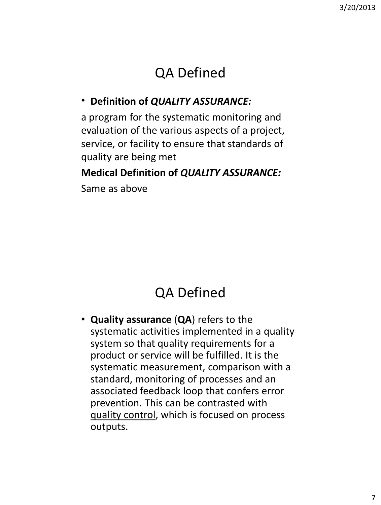# QA Defined

#### • **Definition of** *QUALITY ASSURANCE:*

a program for the systematic monitoring and evaluation of the various aspects of a project, service, or facility to ensure that standards of quality are being met

#### **Medical Definition of** *QUALITY ASSURANCE:*

Same as above

# QA Defined

• **Quality assurance** (**QA**) refers to the systematic activities implemented in a quality system so that quality requirements for a product or service will be fulfilled. It is the systematic measurement, comparison with a standard, monitoring of processes and an associated feedback loop that confers error prevention. This can be contrasted with quality control, which is focused on process outputs.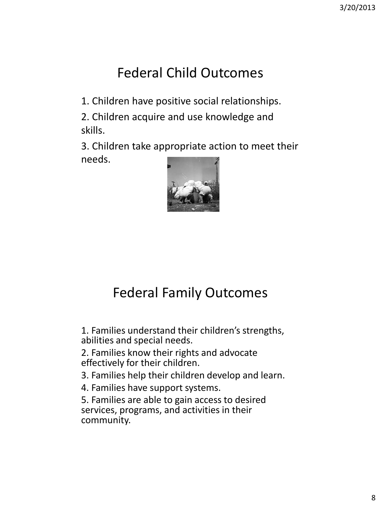# Federal Child Outcomes

1. Children have positive social relationships.

2. Children acquire and use knowledge and skills.

3. Children take appropriate action to meet their needs.



# Federal Family Outcomes

1. Families understand their children's strengths, abilities and special needs.

2. Families know their rights and advocate effectively for their children.

3. Families help their children develop and learn.

4. Families have support systems.

5. Families are able to gain access to desired services, programs, and activities in their community.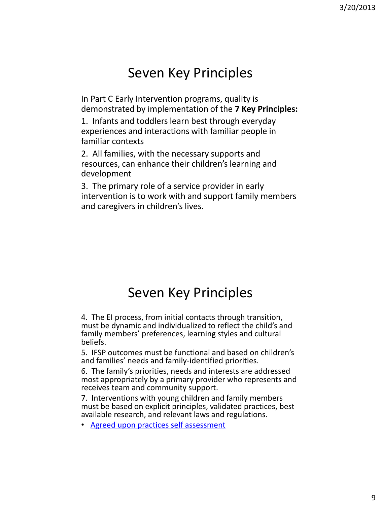#### Seven Key Principles

In Part C Early Intervention programs, quality is demonstrated by implementation of the **7 Key Principles:**

1. Infants and toddlers learn best through everyday experiences and interactions with familiar people in familiar contexts

2. All families, with the necessary supports and resources, can enhance their children's learning and development

3. The primary role of a service provider in early intervention is to work with and support family members and caregivers in children's lives.

## Seven Key Principles

4. The EI process, from initial contacts through transition, must be dynamic and individualized to reflect the child's and family members' preferences, learning styles and cultural beliefs.

5. IFSP outcomes must be functional and based on children's and families' needs and family-identified priorities.

6. The family's priorities, needs and interests are addressed most appropriately by a primary provider who represents and receives team and community support.

7. Interventions with young children and family members must be based on explicit principles, validated practices, best available research, and relevant laws and regulations.

• [Agreed upon practices self assessment](http://projects.fpg.unc.edu/~eco/assets/pdfs/IFSP-SelfAssessmentpractices.pdf)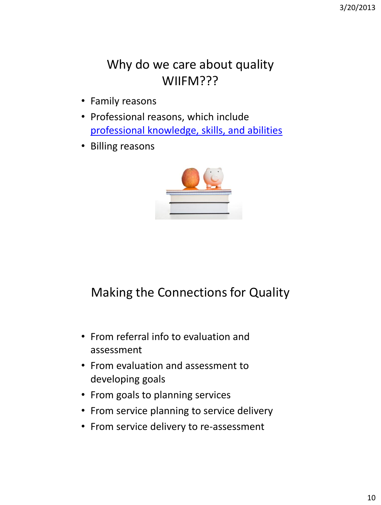#### Why do we care about quality WIIFM???

- Family reasons
- Professional reasons, which include [professional knowledge, skills, and abilities](http://www.uth.tmc.edu/tececds/)
- Billing reasons



#### Making the Connections for Quality

- From referral info to evaluation and assessment
- From evaluation and assessment to developing goals
- From goals to planning services
- From service planning to service delivery
- From service delivery to re-assessment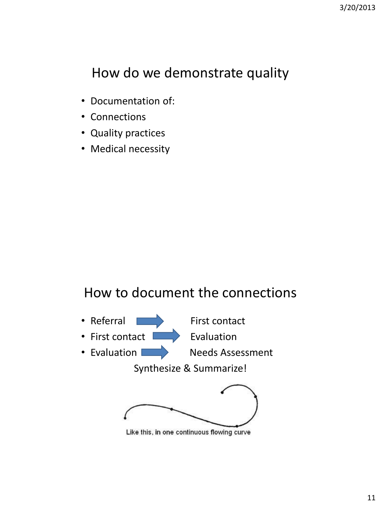# How do we demonstrate quality

- Documentation of:
- Connections
- Quality practices
- Medical necessity

#### How to document the connections



• First contact **EVALUATION** 

• Evaluation **Needs Assessment** 

Synthesize & Summarize!



Like this, in one continuous flowing curve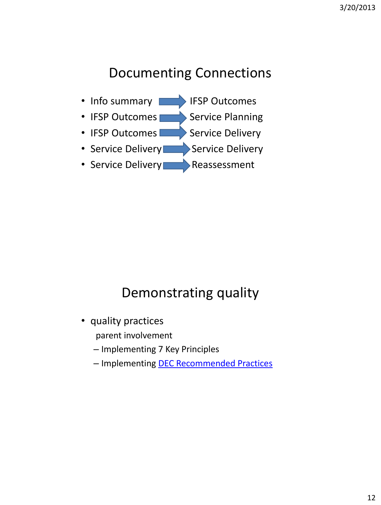# Documenting Connections



## Demonstrating quality

- quality practices parent involvement
	- Implementing 7 Key Principles
	- Implementing [DEC Recommended Practices](http://www.dec-sped.org/About_DEC/Recommended_Practices/Tools_You_Can_Use)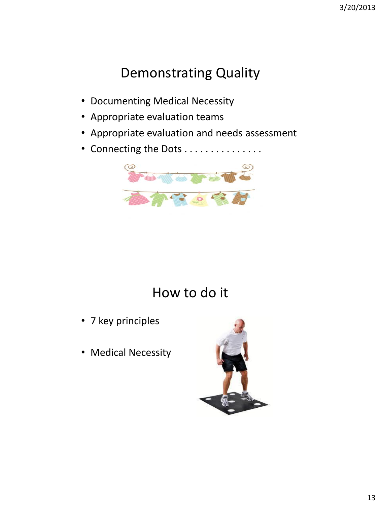# Demonstrating Quality

- Documenting Medical Necessity
- Appropriate evaluation teams
- Appropriate evaluation and needs assessment
- Connecting the Dots . . . . . . . . . . . . . .



## How to do it

- 7 key principles
- Medical Necessity

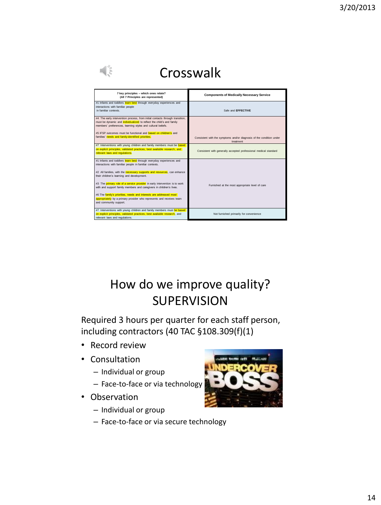| Crosswalk                                                                                                                                                                                                           |                                                                                   |  |
|---------------------------------------------------------------------------------------------------------------------------------------------------------------------------------------------------------------------|-----------------------------------------------------------------------------------|--|
| 7 key principles - which ones relate?<br>(All 7 Principles are represented)                                                                                                                                         | <b>Components of Medically Necessary Service</b>                                  |  |
| #1 Infants and toddlers learn best through everyday experiences and<br>interactions with familiar people<br>in familiar contexts.                                                                                   | Safe and EFFECTIVE                                                                |  |
| #4 The early intervention process, from initial contacts through transition,<br>must be dynamic and individualized to reflect the child's and family<br>members' preferences, learning styles and cultural beliefs. |                                                                                   |  |
| #5 IESP outcomes must be functional and <b>based on children's</b> and<br>families' needs and family-identified priorities.                                                                                         | Consistent with the symptoms and/or diagnosis of the condition under<br>treatment |  |
| #7 Interventions with young children and family members must be based<br>on explicit principles, validated practices, best available research, and<br>relevant laws and regulations.                                | Consistent with generally accepted professional medical standard                  |  |
| #1 Infants and toddlers learn best through everyday experiences and<br>interactions with familiar people in familiar contexts.                                                                                      |                                                                                   |  |
| #2 All families, with the necessary supports and resources, can enhance<br>their children's learning and development.                                                                                               |                                                                                   |  |
| #3 The primary role of a service provider in early intervention is to work<br>with and support family members and caregivers in children's lives.                                                                   | Furnished at the most appropriate level of care                                   |  |
| #6 The family's priorities, needs and interests are addressed most<br>appropriately by a primary provider who represents and receives team<br>and community support.                                                |                                                                                   |  |
| #7 Interventions with young children and family members must be based<br>on explicit principles, validated practices, best available research, and<br>relevant laws and regulations.                                | Not furnished primarily for convenience                                           |  |

#### How do we improve quality? SUPERVISION

Required 3 hours per quarter for each staff person, including contractors (40 TAC §108.309(f)(1)

- Record review
- Consultation
	- Individual or group
	- Face-to-face or via technology
- Observation
	- Individual or group
	- Face-to-face or via secure technology

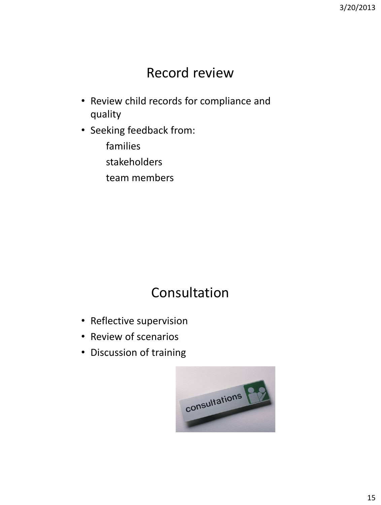#### Record review

- Review child records for compliance and quality
- Seeking feedback from:
	- families
	- stakeholders
	- team members

# Consultation

- Reflective supervision
- Review of scenarios
- Discussion of training

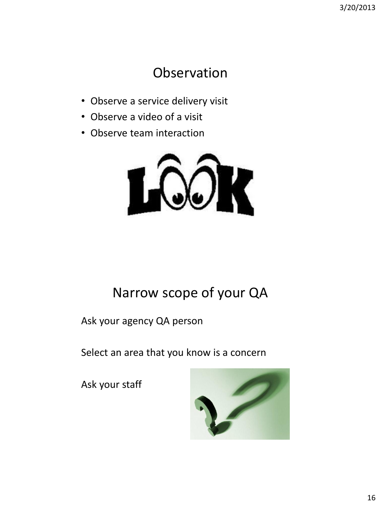#### Observation

- Observe a service delivery visit
- Observe a video of a visit
- Observe team interaction



# Narrow scope of your QA

Ask your agency QA person

Select an area that you know is a concern

Ask your staff

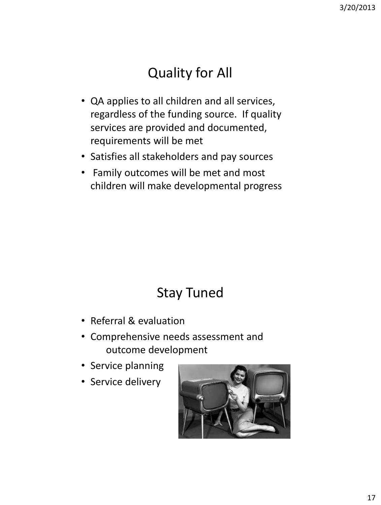# Quality for All

- QA applies to all children and all services, regardless of the funding source. If quality services are provided and documented, requirements will be met
- Satisfies all stakeholders and pay sources
- Family outcomes will be met and most children will make developmental progress

# Stay Tuned

- Referral & evaluation
- Comprehensive needs assessment and outcome development
- Service planning
- Service delivery